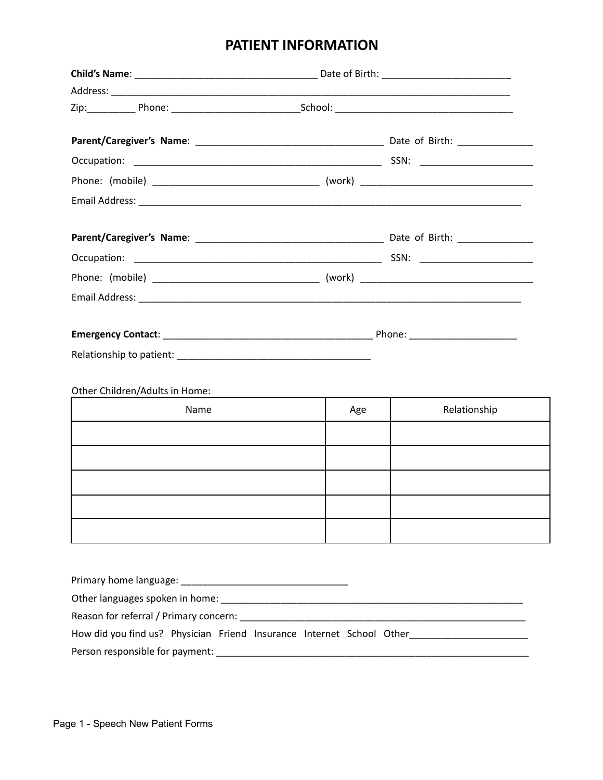# **PATIENT INFORMATION**

| Other Children/Adults in Home:                                                                      |     |              |
|-----------------------------------------------------------------------------------------------------|-----|--------------|
| Name                                                                                                | Age | Relationship |
|                                                                                                     |     |              |
|                                                                                                     |     |              |
|                                                                                                     |     |              |
|                                                                                                     |     |              |
|                                                                                                     |     |              |
|                                                                                                     |     |              |
|                                                                                                     |     |              |
|                                                                                                     |     |              |
|                                                                                                     |     |              |
|                                                                                                     |     |              |
|                                                                                                     |     |              |
| How did you find us? Physician Friend Insurance Internet School Other______________________________ |     |              |
|                                                                                                     |     |              |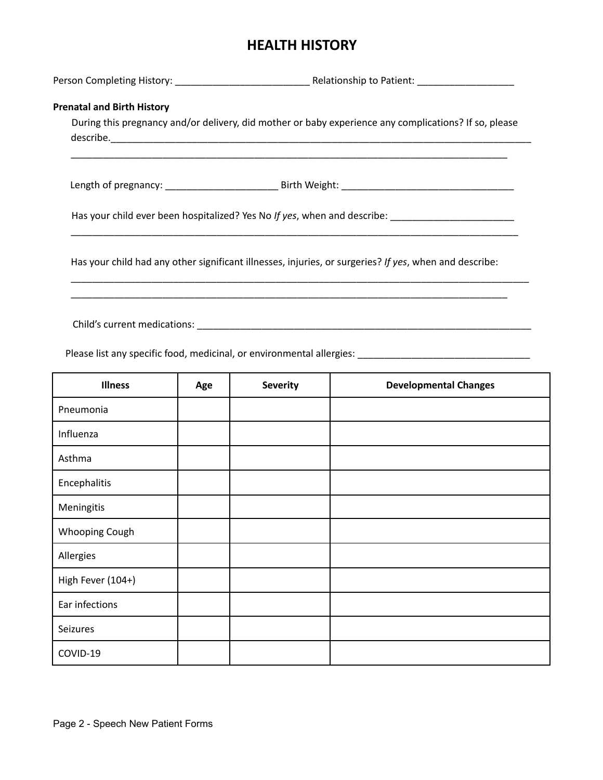# **HEALTH HISTORY**

Person Completing History: \_\_\_\_\_\_\_\_\_\_\_\_\_\_\_\_\_\_\_\_\_\_\_\_\_ Relationship to Patient: \_\_\_\_\_\_\_\_\_\_\_\_\_\_\_\_\_\_ **Prenatal and Birth History** During this pregnancy and/or delivery, did mother or baby experience any complications? If so, please describe.\_\_\_\_\_\_\_\_\_\_\_\_\_\_\_\_\_\_\_\_\_\_\_\_\_\_\_\_\_\_\_\_\_\_\_\_\_\_\_\_\_\_\_\_\_\_\_\_\_\_\_\_\_\_\_\_\_\_\_\_\_\_\_\_\_\_\_\_\_\_\_\_\_\_\_\_\_\_ \_\_\_\_\_\_\_\_\_\_\_\_\_\_\_\_\_\_\_\_\_\_\_\_\_\_\_\_\_\_\_\_\_\_\_\_\_\_\_\_\_\_\_\_\_\_\_\_\_\_\_\_\_\_\_\_\_\_\_\_\_\_\_\_\_\_\_\_\_\_\_\_\_\_\_\_\_\_\_\_\_ Length of pregnancy: \_\_\_\_\_\_\_\_\_\_\_\_\_\_\_\_\_\_\_\_\_ Birth Weight: \_\_\_\_\_\_\_\_\_\_\_\_\_\_\_\_\_\_\_\_\_\_\_\_\_\_\_\_\_\_\_\_ Has your child ever been hospitalized? Yes No If yes, when and describe: \_\_\_\_\_\_\_\_\_\_\_\_\_\_\_\_\_\_\_\_\_\_\_\_\_\_\_ \_\_\_\_\_\_\_\_\_\_\_\_\_\_\_\_\_\_\_\_\_\_\_\_\_\_\_\_\_\_\_\_\_\_\_\_\_\_\_\_\_\_\_\_\_\_\_\_\_\_\_\_\_\_\_\_\_\_\_\_\_\_\_\_\_\_\_\_\_\_\_\_\_\_\_\_\_\_\_\_\_\_\_ Has your child had any other significant illnesses, injuries, or surgeries? *If yes*, when and describe: \_\_\_\_\_\_\_\_\_\_\_\_\_\_\_\_\_\_\_\_\_\_\_\_\_\_\_\_\_\_\_\_\_\_\_\_\_\_\_\_\_\_\_\_\_\_\_\_\_\_\_\_\_\_\_\_\_\_\_\_\_\_\_\_\_\_\_\_\_\_\_\_\_\_\_\_\_\_\_\_\_\_\_\_\_ \_\_\_\_\_\_\_\_\_\_\_\_\_\_\_\_\_\_\_\_\_\_\_\_\_\_\_\_\_\_\_\_\_\_\_\_\_\_\_\_\_\_\_\_\_\_\_\_\_\_\_\_\_\_\_\_\_\_\_\_\_\_\_\_\_\_\_\_\_\_\_\_\_\_\_\_\_\_\_\_\_

Child's current medications: \_\_\_\_\_\_\_\_\_\_\_\_\_\_\_\_\_\_\_\_\_\_\_\_\_\_\_\_\_\_\_\_\_\_\_\_\_\_\_\_\_\_\_\_\_\_\_\_\_\_\_\_\_\_\_\_\_\_\_\_\_\_

Please list any specific food, medicinal, or environmental allergies: \_\_\_\_\_\_\_\_\_\_\_\_\_\_\_\_\_\_\_\_\_\_\_\_\_\_\_\_\_\_\_\_

| <b>Illness</b>    | Age | <b>Severity</b> | <b>Developmental Changes</b> |
|-------------------|-----|-----------------|------------------------------|
| Pneumonia         |     |                 |                              |
| Influenza         |     |                 |                              |
| Asthma            |     |                 |                              |
| Encephalitis      |     |                 |                              |
| Meningitis        |     |                 |                              |
| Whooping Cough    |     |                 |                              |
| Allergies         |     |                 |                              |
| High Fever (104+) |     |                 |                              |
| Ear infections    |     |                 |                              |
| Seizures          |     |                 |                              |
| COVID-19          |     |                 |                              |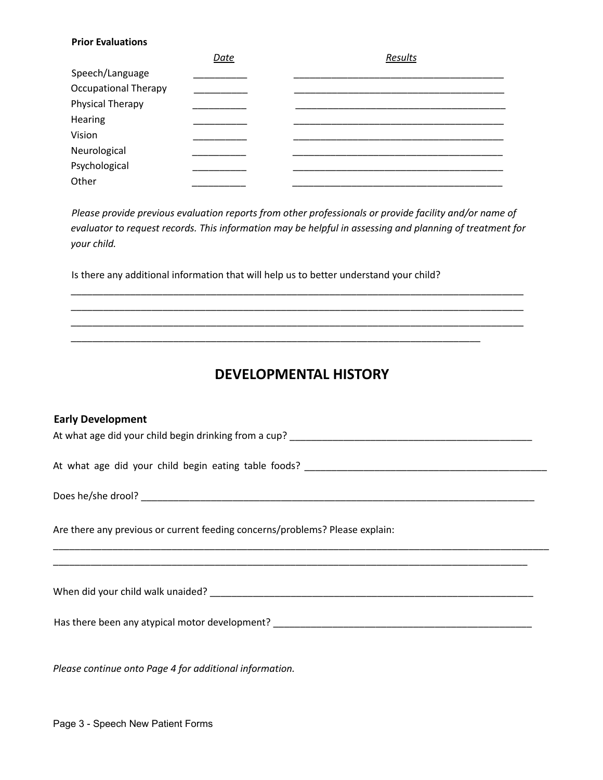### **Prior Evaluations**

|                             | <b>Date</b> | Results |
|-----------------------------|-------------|---------|
| Speech/Language             |             |         |
| <b>Occupational Therapy</b> |             |         |
| <b>Physical Therapy</b>     |             |         |
| Hearing                     |             |         |
| Vision                      |             |         |
| Neurological                |             |         |
| Psychological               |             |         |
| Other                       |             |         |

*Please provide previous evaluation reports from other professionals or provide facility and/or name of evaluator to request records. This information may be helpful in assessing and planning of treatment for your child.*

\_\_\_\_\_\_\_\_\_\_\_\_\_\_\_\_\_\_\_\_\_\_\_\_\_\_\_\_\_\_\_\_\_\_\_\_\_\_\_\_\_\_\_\_\_\_\_\_\_\_\_\_\_\_\_\_\_\_\_\_\_\_\_\_\_\_\_\_\_\_\_\_\_\_\_\_\_\_\_\_\_\_\_\_ \_\_\_\_\_\_\_\_\_\_\_\_\_\_\_\_\_\_\_\_\_\_\_\_\_\_\_\_\_\_\_\_\_\_\_\_\_\_\_\_\_\_\_\_\_\_\_\_\_\_\_\_\_\_\_\_\_\_\_\_\_\_\_\_\_\_\_\_\_\_\_\_\_\_\_\_\_\_\_\_\_\_\_\_ \_\_\_\_\_\_\_\_\_\_\_\_\_\_\_\_\_\_\_\_\_\_\_\_\_\_\_\_\_\_\_\_\_\_\_\_\_\_\_\_\_\_\_\_\_\_\_\_\_\_\_\_\_\_\_\_\_\_\_\_\_\_\_\_\_\_\_\_\_\_\_\_\_\_\_\_\_\_\_\_\_\_\_\_

\_\_\_\_\_\_\_\_\_\_\_\_\_\_\_\_\_\_\_\_\_\_\_\_\_\_\_\_\_\_\_\_\_\_\_\_\_\_\_\_\_\_\_\_\_\_\_\_\_\_\_\_\_\_\_\_\_\_\_\_\_\_\_\_\_\_\_\_\_\_\_\_\_\_\_\_

Is there any additional information that will help us to better understand your child?

## **DEVELOPMENTAL HISTORY**

| <b>Early Development</b>                                                     |
|------------------------------------------------------------------------------|
|                                                                              |
|                                                                              |
|                                                                              |
|                                                                              |
|                                                                              |
| Are there any previous or current feeding concerns/problems? Please explain: |
|                                                                              |
|                                                                              |
|                                                                              |
|                                                                              |
|                                                                              |
|                                                                              |
| Please continue onto Page 4 for additional information.                      |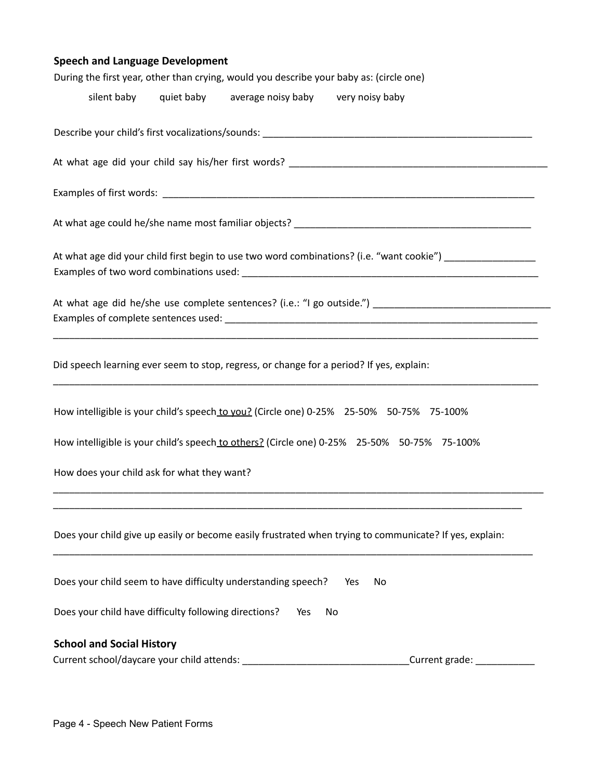| During the first year, other than crying, would you describe your baby as: (circle one)<br>quiet baby average noisy baby very noisy baby<br>silent baby<br>At what age did your child first begin to use two word combinations? (i.e. "want cookie") ___________________<br><u> 1989 - Johann John Stoff, deutscher Stoffen und der Stoffen und der Stoffen und der Stoffen und der Stoffen</u><br>Did speech learning ever seem to stop, regress, or change for a period? If yes, explain: |
|---------------------------------------------------------------------------------------------------------------------------------------------------------------------------------------------------------------------------------------------------------------------------------------------------------------------------------------------------------------------------------------------------------------------------------------------------------------------------------------------|
|                                                                                                                                                                                                                                                                                                                                                                                                                                                                                             |
|                                                                                                                                                                                                                                                                                                                                                                                                                                                                                             |
|                                                                                                                                                                                                                                                                                                                                                                                                                                                                                             |
|                                                                                                                                                                                                                                                                                                                                                                                                                                                                                             |
|                                                                                                                                                                                                                                                                                                                                                                                                                                                                                             |
|                                                                                                                                                                                                                                                                                                                                                                                                                                                                                             |
|                                                                                                                                                                                                                                                                                                                                                                                                                                                                                             |
|                                                                                                                                                                                                                                                                                                                                                                                                                                                                                             |
|                                                                                                                                                                                                                                                                                                                                                                                                                                                                                             |
| How intelligible is your child's speech to you? (Circle one) 0-25% 25-50% 50-75% 75-100%                                                                                                                                                                                                                                                                                                                                                                                                    |
| How intelligible is your child's speech to others? (Circle one) 0-25% 25-50% 50-75% 75-100%                                                                                                                                                                                                                                                                                                                                                                                                 |
| How does your child ask for what they want?                                                                                                                                                                                                                                                                                                                                                                                                                                                 |
| Does your child give up easily or become easily frustrated when trying to communicate? If yes, explain:                                                                                                                                                                                                                                                                                                                                                                                     |
| Does your child seem to have difficulty understanding speech? Yes<br>No                                                                                                                                                                                                                                                                                                                                                                                                                     |
| Does your child have difficulty following directions?<br>Yes<br>No                                                                                                                                                                                                                                                                                                                                                                                                                          |
| <b>School and Social History</b>                                                                                                                                                                                                                                                                                                                                                                                                                                                            |
| Current school/daycare your child attends: __________________________________Current grade: ______________                                                                                                                                                                                                                                                                                                                                                                                  |